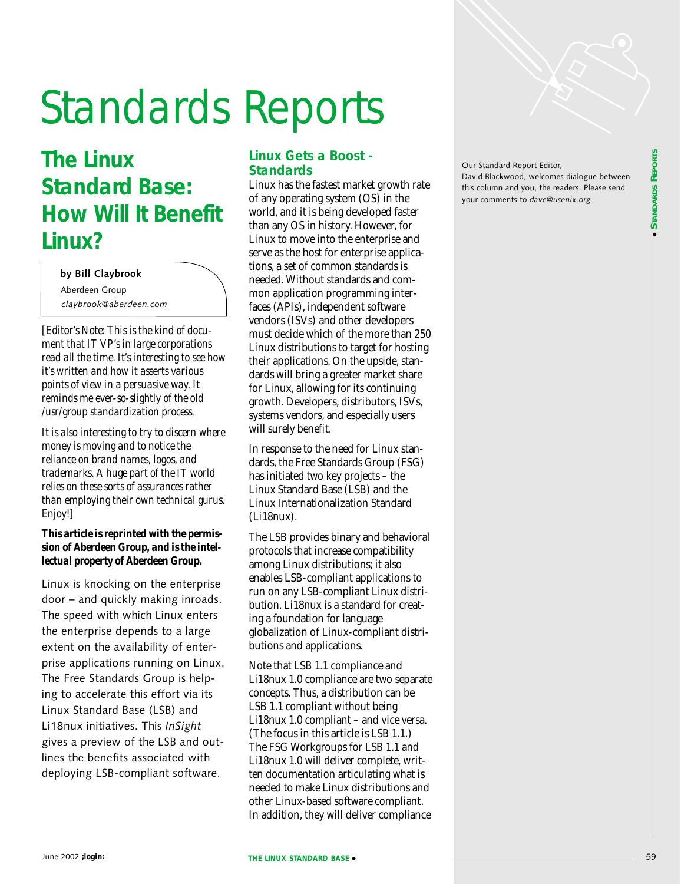

# Standards Reports

# **The Linux Standard Base: How Will It Benefit Linux?**

*claybrook@aberdeen.com* **by Bill Claybrook** Aberdeen Group

[*Editor's Note: This is the kind of document that IT VP's in large corporations read all the time. It's interesting to see how it's written and how it asserts various points of view in a persuasive way. It reminds me ever-so-slightly of the old /usr/group standardization process.*

*It is also interesting to try to discern where money is moving and to notice the reliance on brand names, logos, and trademarks. A huge part of the IT world relies on these sorts of assurances rather than employing their own technical gurus. Enjoy!*]

#### *This article is reprinted with the permission of Aberdeen Group, and is the intellectual property of Aberdeen Group.*

Linux is knocking on the enterprise door – and quickly making inroads. The speed with which Linux enters the enterprise depends to a large extent on the availability of enterprise applications running on Linux. The Free Standards Group is helping to accelerate this effort via its Linux Standard Base (LSB) and Li18nux initiatives. This *InSight* gives a preview of the LSB and outlines the benefits associated with deploying LSB-compliant software.

# **Linux Gets a Boost - Standards**

Linux has the fastest market growth rate of any operating system (OS) in the world, and it is being developed faster than any OS in history. However, for Linux to move into the enterprise and serve as the host for enterprise applications, a set of common standards is needed. Without standards and common application programming interfaces (APIs), independent software vendors (ISVs) and other developers must decide which of the more than 250 Linux distributions to target for hosting their applications. On the upside, standards will bring a greater market share for Linux, allowing for its continuing growth. Developers, distributors, ISVs, systems vendors, and especially users will surely benefit.

In response to the need for Linux standards, the Free Standards Group (FSG) has initiated two key projects – the Linux Standard Base (LSB) and the Linux Internationalization Standard (Li18nux).

The LSB provides binary and behavioral protocols that increase compatibility among Linux distributions; it also enables LSB-compliant applications to run on any LSB-compliant Linux distribution. Li18nux is a standard for creating a foundation for language globalization of Linux-compliant distributions and applications.

Note that LSB 1.1 compliance and Li18nux 1.0 compliance are two separate concepts. Thus, a distribution can be LSB 1.1 compliant without being Li18nux 1.0 compliant – and vice versa. (The focus in this article is LSB 1.1.) The FSG Workgroups for LSB 1.1 and Li18nux 1.0 will deliver complete, written documentation articulating what is needed to make Linux distributions and other Linux-based software compliant. In addition, they will deliver compliance

Our Standard Report Editor, David Blackwood, welcomes dialogue between this column and you, the readers. Please send your comments to *dave@usenix.org.*

● **STANDARDS** STANDARDS REPORTS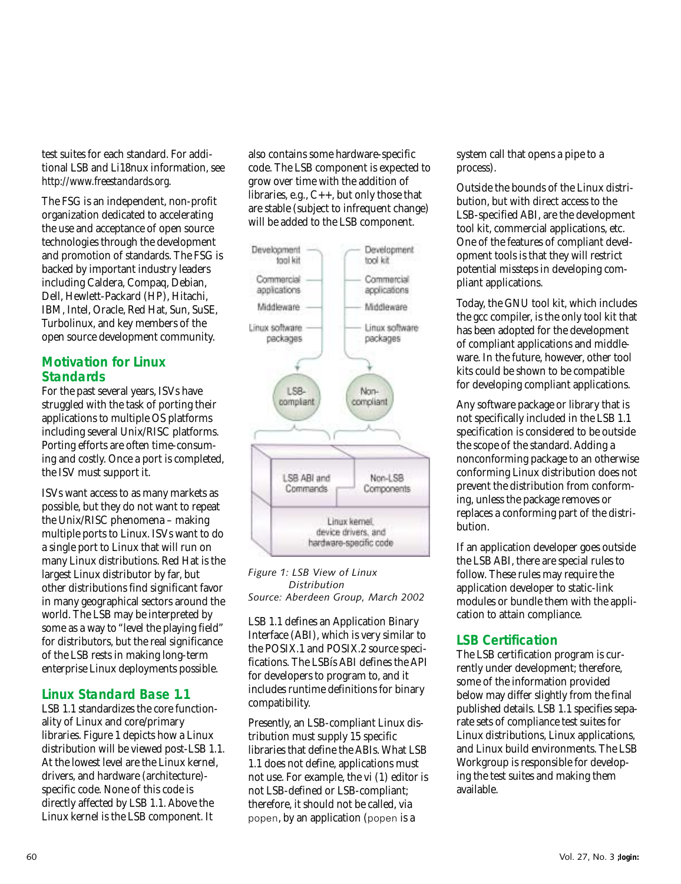test suites for each standard. For additional LSB and Li18nux information, see *http://www.freestandards.org*.

The FSG is an independent, non-profit organization dedicated to accelerating the use and acceptance of open source technologies through the development and promotion of standards. The FSG is backed by important industry leaders including Caldera, Compaq, Debian, Dell, Hewlett-Packard (HP), Hitachi, IBM, Intel, Oracle, Red Hat, Sun, SuSE, Turbolinux, and key members of the open source development community.

# **Motivation for Linux Standards**

For the past several years, ISVs have struggled with the task of porting their applications to multiple OS platforms including several Unix/RISC platforms. Porting efforts are often time-consuming and costly. Once a port is completed, the ISV must support it.

ISVs want access to as many markets as possible, but they do not want to repeat the Unix/RISC phenomena – making multiple ports to Linux. ISVs want to do a single port to Linux that will run on many Linux distributions. Red Hat is the largest Linux distributor by far, but other distributions find significant favor in many geographical sectors around the world. The LSB may be interpreted by some as a way to "level the playing field" for distributors, but the real significance of the LSB rests in making long-term enterprise Linux deployments possible.

#### **Linux Standard Base 1.1**

LSB 1.1 standardizes the core functionality of Linux and core/primary libraries. Figure 1 depicts how a Linux distribution will be viewed post-LSB 1.1. At the lowest level are the Linux kernel, drivers, and hardware (architecture) specific code. None of this code is directly affected by LSB 1.1. Above the Linux kernel is the LSB component. It

also contains some hardware-specific code. The LSB component is expected to grow over time with the addition of libraries, e.g., C++, but only those that are stable (subject to infrequent change) will be added to the LSB component.



*Figure 1: LSB View of Linux Distribution Source: Aberdeen Group, March 2002*

LSB 1.1 defines an Application Binary Interface (ABI), which is very similar to the POSIX.1 and POSIX.2 source specifications. The LSBís ABI defines the API for developers to program to, and it includes runtime definitions for binary compatibility.

Presently, an LSB-compliant Linux distribution must supply 15 specific libraries that define the ABIs. What LSB 1.1 does not define, applications must not use. For example, the vi (1) editor is not LSB-defined or LSB-compliant; therefore, it should not be called, via popen, by an application (popen is a

system call that opens a pipe to a process).

Outside the bounds of the Linux distribution, but with direct access to the LSB-specified ABI, are the development tool kit, commercial applications, etc. One of the features of compliant development tools is that they will restrict potential missteps in developing compliant applications.

Today, the GNU tool kit, which includes the gcc compiler, is the only tool kit that has been adopted for the development of compliant applications and middleware. In the future, however, other tool kits could be shown to be compatible for developing compliant applications.

Any software package or library that is not specifically included in the LSB 1.1 specification is considered to be outside the scope of the standard. Adding a nonconforming package to an otherwise conforming Linux distribution does not prevent the distribution from conforming, unless the package removes or replaces a conforming part of the distribution.

If an application developer goes outside the LSB ABI, there are special rules to follow. These rules may require the application developer to static-link modules or bundle them with the application to attain compliance.

# **LSB Certification**

The LSB certification program is currently under development; therefore, some of the information provided below may differ slightly from the final published details. LSB 1.1 specifies separate sets of compliance test suites for Linux distributions, Linux applications, and Linux build environments. The LSB Workgroup is responsible for developing the test suites and making them available.